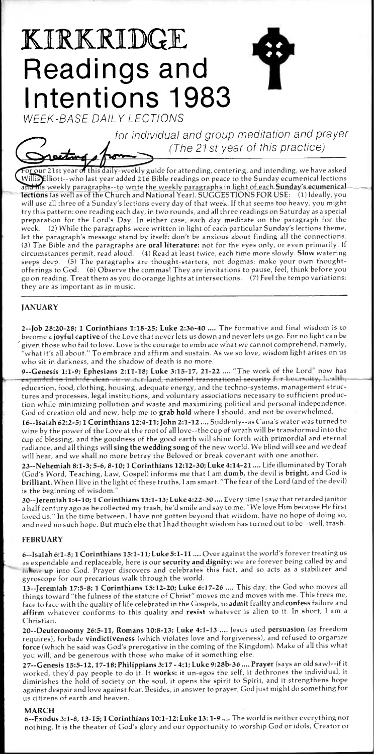# KIRKRIDGE **Readings and Intentions 1983**

WEEK-BASE DAILY LECT1ONS

activ

for individual and group meditation and prayer (The 21st year of this practice)

 $\overline{\mathrm{p}}$ ur 21st year of this daily-weekly guide for attending, centering, and intending, we have asked Iliott—who last year added 216 Bible readings on peace to the Sunday ecumenical lections and his weekly paragraphs--to write the weekly paragraphs in light of each Sunday's ecumenical-Fections (as well as of the Church and National Year). SUGGESTIONS FOR USE: (1) Ideally, you will use all three of a Sunday's lect;ons every day of that week. If that seems too heavy, you might try this pattern: one reading each day, in two rounds, and all three readings on Saturday as a special preparation for the Lord's Day. In either case, each day meditate on the paragraph for the week. (2) While the paragraphs were written in light of each particular Sunday's lections theme, let the paragraph's message stand by itself: don't be anxious about finding all the connections. (3) The Bible and the paragraphs are oral literature: not for the eyes only, or even primarily. If circumstances permit, read aloud. (4) Read at least twice, each time more slowly. **Slow** watering seeps deep. (5) The paragraphs are thought-starters, not dogmas: make your own thought- $(5)$  The paragraphs are thought-starters, not dogmas: make your own thoughtofferings to God. (6) Observe the commas! They are invitations to pause, feel, think before you go on reading. Treat them as you do orange lights at intersections. (7) Feel the tempo variations: they are as important as in music.

# **JANUARY**

2--Job 28:20-28; 1 Corinthians 1:18-25; Luke 2:36-40 .... The formative and final wisdom is to become a joyful captive of the Love that never lets us down and never lets us go. For no light can be given those who fail to love. Love is the courage to embrace what we cannot comprehend, namely, what it's all about." To embrace and affirm and sustain. As we so love, wisdom light arises on us who sit in darkness, and the shadow of death is no more.

9--Genesis 1:1-9; Ephesians 2:11-18; Luke 3:15-17, 21-22 .... "The work of the Lord" now has expanded to include clean vir-water-land, national transnational security for hummity, health, education, food, clothing, housing, adequate energy, and the techno-systems, management structures and processes, legal institutions, and voluntary associations necessary to sufficient production while minimizing pollution and waste and maximizing political and personal independence. God of creation old and new, help me to grab hold where I should, and not be overwhelmed.

16--Isaiah 62:2 -5; 1 Corinthians 12:4 -11; John 2:1 -12 .... Suddenly--as Cana's water was turned to wine by the power of the Love at the root of all love—the cup of wrath will be transformed into the cup of blessing, and the goodness of the good earth will shine forth with primordial and eternal radiance, and all things will sing the wedding song of the new world. We blind will see and we deaf will hear, and we shall no more betray the Beloved or break covenant with one another.

23--Nehemiah 8:1 -3; 5-6, 8- 10; 1 Corinthians 12:12 -30; Luke 4:14-21 .... Life illuminated by Torah (God's Word, Teaching, Law, Gospel) informs me that I am dumb, the devil is bright, and God is brilliant. When I live in the light of these truths, I am smart. "The fear of the Lord (and of the devil) is the beginning of wisdom."

30--Jeremiah 1:4-10; 1 Corinthians 13:1-13; Luke 4:22-30 .... Every time I saw that retarded janitor a half century ago as he collected my trash, he'd smile and say to me, "We love Him because He first loved us." In the time between, I have not gotten beyond that wisdom, have no hope of doing so, and need no such hope. But much else that I had thought wisdom has turned out to be--well, trash.

# FEBRUARY

6--Isaiah 6:1-8; 1 Corinthians 15:1-11; Luke 5:1-11 .... Over against the world's forever treating us as expendable and replaceable, here is our security and dignity: we are forever being called by and taken up into God. Prayer discovers and celebrates this fact, and so acts as a stabilizer and gyroscope for our precarious walk through the world.

13--Jeremiah 17:5 -8; 1 Corinthians 15:12 -20; Luke 6:17-26 .... This day, the God who moves all things toward "the fulness of the stature of Christ" moves me and moves with me. This frees me, face to face with the quality of life celebrated in the Gospels, to admit frailty and confess failure and affirm whatever conforms to this quality and resist whatever is alien to it. In short, I am a Christian.

20--Deuteronomy 26:5-11, Romans 10:8-13; Luke 4:1-13 .... Jesus used persuasion (as freedom requires), forbade vindictiveness (which violates love and forgiveness), and refused to organize force (which he said was God's prerogative in the coming of the Kingdom). Make of all this what you will, and be generous with those who make of it something else.

27--Genesis 15:5 -12, 17-18; Philippians 3:17 - 4:1; Luke 9:28b -36 .... Prayer (says an old saw)--if it worked, they'd pay people to do it. It works: it un-egos the self, it dethrones the individual, it diminishes the hold of society on the soul, it opens the spirit to Spirit, and it strengthens hope against despair and love against fear. Besides, in answer to prayer, God just might do something for us citizens of earth and heaven.

## MARCH

6--Exodus 3:1-8, 13-15; 1 Corinthians 10:1-12; Luke 13: 1-9 .... The world is neither everything nor nothing. It is the theater of God's glory and our opportunity to worship God or idols, Creator or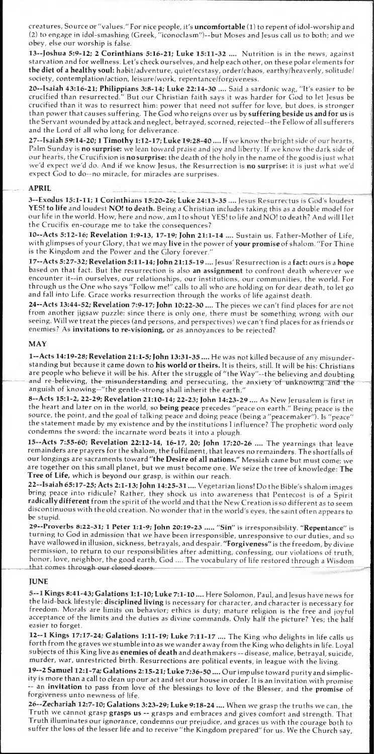creatures, Source or "values." For nice people, it's uncomfortable (1) to repent of idol-worship and (2) to engage in idol-smashing (Greek, "iconoclasm")--but Moses and Jesus call us to both; and we obey, else our worship is false.

13--Joshua 5:9-12; 2 Corinthians 5:16 -21; Luke 15:11 -32 .... Nutrition is in the news, against starvation and for wellness. Let's check ourselves, and help each other, on these polar elements for the diet of a healthy soul: habit/adventure, quiet/ecstasy, order/chaos, earthy/heavenly, solitude/ society, contemplation/action, leisure/work, repentance/forgiveness.

20--Isaiah 43:16-21; Philippians 3:8 -14; Luke 22:14 -30 .... Said a sardonic wag, "It's easier to be crucified than resurrected." But our Christian faith says it was harder for God to let Jesus be crucified than it was to resurrect him: power that need not suffer for love, but does, is stronger than power that causes suffering. The God who reigns over us by suffering beside us and for us is the Servant wounded by attack and neglect, betrayed, scorned, rejected--the Fellow of all sufferers and the Lord of all who long for deliverance.

27--Isaiah 59:14-20; 1 Timothy 1:12-17; Luke 19:28-40 .... If we know the bright side of our hearts, Palm Sunday is no surprise: we lean toward praise and joy and liberty. If we know the dark side of our hearts, the Crucifixion is no surprise: the death of the holy in the name of the good is just what we'd expect we'd do. And if we know Jesus, the Resurrection is no surprise: it is just what we'd expect God to do--no miracle, for miracles are surprises.

#### APRIL

3--Exodus 15:1-11; 1 Corinthians 15:20-26; Luke 24:13-35 .... Jesus Resurrectus is God's loudest YES! to life and loudest NO! to death. Being a Christian includes taking this as a double model for our life in the world. How, here and now, am I to shout YES! to life and NO! to death? And will I let the Crucifix en-courage me to take the consequences?

10--Acts 5:12-16; Revelation 1:9-13, 17-19; John 21:1-14 .... Sustain us, Father-Mother of Life, with glimpses of your Glory, that we may live in the power of your promise of shalom. "For Thine is the Kingdom and the Power and the Glory forever."

17--Acts 5:27 -32; Revelation 5:11 -14; John 21:15-19 .... Jesus' Resurrection is a fact: ours is a hope based on that fact. But the resurrection is also an assignment to confront death wherever we encounter it--in ourselves, our relationships, our institutions, our communities, the world. For through us the One who says "Follow me!" calls to all who are holding on for dear death, to let go and fall into Life. Grace works resurrection through the works of life against death.

24--Acts 13:44 -52; Revelation 7:9 -17; John 10:22 -30 .... The pieces we can't find places for are not from another jigsaw puzzle: since there is only one, there must be something wrong with our seeing. Will we treat the pieces (and persons, and perspectives) we can't find places for as friends or enemies? As invitations to re-visioning, or as annoyances to be rejected?

#### MAY

1--Acts 14:19-28; Revelation 21:1-5; John 13:31-35 .... He was not killed because of any misunderstanding but because it came down to his world or theirs. It is theirs, still. It will be his: Christians are people who believe it will be his. After the struggle of "the Way"--the believing and doubting and re-believing, the-misunderstanding and persecuting, the anxiety of unknowing and the<br>anguish of knowing--"the gentle-strong shall inherit the earth."

8--Acts 15:1-2, 22-29; Revelation 21:10-14; 22-23; John 14:23-29 .... As New Jerusalem is first in the heart and later on in the world, so being peace precedes "peace on earth." Being peace is the source, the point, and the goal of talking peace and doing peace (being a "peacemaker"). Is "peace" the statement made by my existence and by the institutions I influence? The prophetic word only condemns the sword: the incarnate word beats it into a plough.

15--Acts 7:55-60; Revelation 22:12 -14, 16-17, 20; John 17:20-26 .... The yearnings that leave remainders are prayers for the shalom, the fulfilment, that leaves no remainders. The shortfalls of our longings are sacraments toward "the Desire of all nations." Messiah came but must come; we are together on this small planet, but we must become one. We seize the tree of knowledge: The Tree of Life, which is beyond our grasp, is within our reach.

22--Isaiah 65:17-25; Acts 2:1-13; John 14:25-31 .... Vegetarian lions! Do the Bible's shalom images bring peace into ridicule? Rather, they shock us into awareness that Pentecost is of a Spirit radically different from the spirit of the world and that the New Creation is so different as to seem discontinuous with the old creation. No wonder that in the world's eyes, the saint often appears to be stupid.

29--Proverbs 8:22-31; 1 Peter 1:1-9; John 20:19-23 ..... "Sin" is irresponsibility. "Repentance" is turning to God in admission that we have been irresponsible, unresponsive to our duties, and so have wallowed in illusion, sickness, betrayals, and despair. "Forgiveness" is the freedom, by divine permission, to return to our responsibilities after admitting, confessing, our violations of truth, honor, love, neighbor, the good earth, God .... The vocabulary of life restored through a Wisdom that comes through our closed doors.

#### **JUNE**

5--1 Kings 8:41-43; Galations 1:1-10; Luke 7:1-10 .... Here Solomon, Paul, and Jesus have news for the laid-back lifestyle: disciplined living is necessary for character, and character is necessary for freedom. Morals are limits on behavior; ethics is duty; mature religion is the free and joyful acceptance of the limits and the duties as divine commands. Only half the picture? Yes; the half easier to forget.

12--1 Kings 17:17 -24; Galations 1:11 -19; Luke 7:11 -17 .... The King who delights in life calls us forth from the graves we stumble into as we wander away from the King who delights in life. Loyal subjects of this King live as enemies of death and deathmakers -- disease, malice, betrayal, suicide, murder, war, unrestricted birth. Resurrections are political events, in league with the living.

19--2 Samuel 12:1-7a; Galations 2:15-21; Luke 7:36-50 .... Our impulse toward purity and simplicity is more than a call to clean up our act and set our house in order. It is an invitation with promise -- an invitation to pass from love of the blessings to love of the Blesser, and the promise of forgiveness unto newness of life.

26 -- Zechariah 12:7-10; Galations 3:23-29; Luke 9:18-24 .... When we grasp the truths we can, the Truth we cannot grasp grasps us -- grasps and embraces and gives comfort and strength. That Truth illuminates our ignorance, condemns our prejudice, and graces us with the courage both to suffer the loss of the lesser life and to receive "the Kingdom prepared" for us. We the Church say,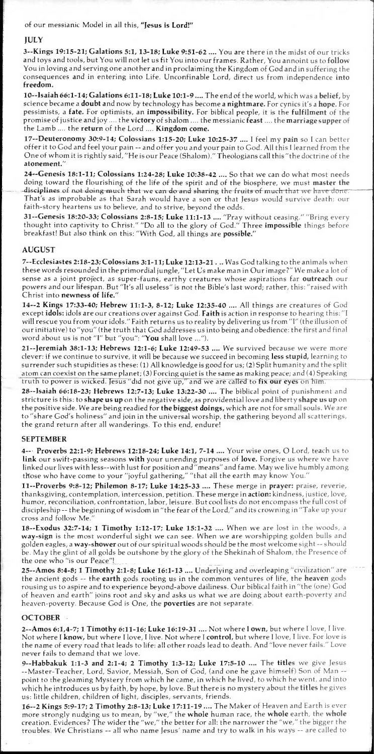#### of our messianic Model in all this, "Jesus **is Lord!"**

## **JULY**

**3--Kings 19:15-21;** Galations **5:1, 13-18; Luke 9:51-62 ....** You are there in the midst of our tricks and toys and tools, but You will not let us fit You into our frames. Rather, You annoint us to **follow**  You in loving and serving one another and in proclaiming the Kingdom of God and in suffering the consequences and in entering into Life. Unconfinable Lord, direct us from independence **into freedom.** 

**10--Isaiah 66:1-14; Galations 6:11-18; Luke 10:1-9 ....** The end of the world, which was a **belief,** by science became a **doubt** and now by technology has become a **nightmare.** For cynics it's a **hope.** For pessimists, a **fate.** For optimists, an **impossibility.** For biblical people, it is the **fulfilment** of the promise of justice and joy .... the **victory** of shalom .... the messianic **feast ....** the **marriage supper** of the Lamb .... the **return** of the Lord .... **Kingdom come.** 

**17--Deuteronomy 30:9-14; Colossians 1:15-20; Luke 10:25-37 .... I** feel my **pain** so I can better offer it to God and feel your pain -- and offer you and your pain to God. All this I learned from the One of whom it is rightly said, "He is our Peace (Shalom)." Theologians call this "the doctrine of the **atonement."** 

**24--Genesis 18:1-11; Colossians 1:24-28; Luke 10:38-42 ....** So that we can do what most needs doing toward the flourishing of the life of the spirit and of the biosphere, we must **master the**  disciplines of not doing-much that we can do and sharing the fruits of much that we have done. That's as improbable as that Sarah would have a son or that Jesus would survive death: our faith-story heartens us to believe, and to strive, beyond the odds.

**31--Genesis 18:20 -33; Colossians 2:8-15; Luke 11:1 -13 ....** "Pray without ceasing." "Bring every thought into captivity to Christ." "Do all to the glory of God." Three **impossible** things before breakfast! But also think on this: "With God, all things are **possible."** 

## **AUGUST**

**7--Ecclesiastes 2:18-23; Colossians 3:1-11; Luke 12:13-21 . ..** Was God talking to the animals when these words resounded in the primordial jungle, "Let Us make man in Our image?" We make a lot of sense as a joint project, as super-fauns, earthy creatures whose aspirations far **outreach** our powers and our lifespan. But "It's all useless" is not the Bible's last word; rather, this: "raised with Christ into **newness of life."** 

**14--2 Kings 17:33-40; Hebrew 11:1-3, 8-12; Luke 12:35-40 ....** All things are creatures of God except **idols:** idols are our creations over against God. **Faith** is action in response to hearing this: "I will rescue you from your idols." Faith returns us to reality by delivering us from **"I"** (the illusion of our initiative) to "you" (the truth that God addresses us into being and obedience: the first and final word about us is not **"I"** but "you": **"You** shall love ...").

**21--Jeremiah 38:1 -13; Hebrews 12:1 -6; Luke 12:49 -53 ....** We survived because we were more clever: if we continue to survive, it will be because we succeed in becoming **less stupid,** learning to surrender such stupidities as these: (1) All knowledge is good for us; (2) Split humanity and the split atom can coexist on the same planet; (3) Forcing quiet is the same as making peace; and (4) Speaking truth to power is wicked. Jesus did not give up," and we are called to **fix our eyes** on him.

**28--Isaiah 66:18 -23; Hebrews 12:7 -13; Luke 13:22 -30 ....** The biblical point of punishment and stricture is this: to **shape us up** on the negative side, as providential love and liberty **shape us up** on the positive side. We are being readied for **the biggest doings,** which are not for small souls. We are to "share God's holiness" and join in the universal worship, the gathering beyond all scatterings, the grand return after all wanderings. To this end, endure!

## **SEPTEMBER**

**4-- Proverbs 22:1-9; Hebrews 12:18-24; Luke 14:1, 7-14 ....** Your wise ones, 0 Lord, teach us to **link** our swift-passing seasons **with** your unending purposes of **love.** Forgive us where we have linked our lives with less--with lust for position and "means" and fame. May we live humbly among those who have come to your "joyful gathering," "that all the earth may know You."

**11--Proverbs 9:8-12; Philemon 8 -17; Luke 14:25-33 ....** These merge in **prayer:** praise, reverie, thanksgiving, contemplation, intercession, petition. These merge in **action:** kindness, justice, love, humor, reconciliation, confrontation, labor, leisure. But cool lists do not encompass the full cost of discipleship -- the beginning of wisdom in "the fear of the Lord," and its crowning in "Take up your cross and follow Me.

**18--Exodus 32:7 -14; 1 Timothy 1:12-17; Luke 15:1 -32 ....** When we are lost in the woods, a **way-sign** is the most wonderful sight we can see. When we are worshipping golden bulls and golden eagles, a **way-shower** out of our spiritual woods should be the most welcome sight -- should be. May the glint of all golds be outshone by the glory of the Shekinah of Shalom, the Presence of the one who "is our Peace"!

**25--Amos 8:4 -8; 1 Timothy 2:1 -8; Luke 16:1 -13 ....** Underlying and overleaping "civilization" are the ancient gods -- the **earth** gods rooting us in the common ventures of life, the **heaven** gods rousing us to aspire and to experience beyond-above dailiness. Our biblical faith in "the (one) God of heaven and earth" joins root and sky and asks us what we are doing about earth-poverty and heaven-poverty. Because God is One, the **poverties** are not separate.

## **OCTOBER**

**2--Amos 6:1,4-7; 1 Timothy 6:11-16; Luke 16:19-31 ....** Not where I **own,** but where I love, I live. Not where I **know,** but where I love, I live. Not where I **control,** but where I love, I live. For love is the name of every road that leads to life: all other roads lead to death. And "love never fails." Love never fails to demand that we love.

**9--Habbakuk 1:1 -3 and 2:1 -4; 2 Timothy 1:3 -12; Luke 17:5 -10 ....** The **titles** *we* give Jesus --Master-Teacher, Lord, Savior, Messiah, Son of God, (and one he gave himself) Son of Man - point to the gleaming Mystery from which he came, in which he lived, to which he went, and into which he introduces us by faith, by hope, by love. But there is no mystery about the **titles** he gives us: little children, children of light, disciples, servants, friends.

**16--2 Kings 5:9-17; 2 Timothy 2:8 -13; Luke 17:11 -19 ....** The Maker of Heaven and Earth is ever more strongly nudging us to mean, by *" we,"* the **whole** human race, the **whole** earth, the **whole**  creation. Evidences? The wider the "we," the better for all: the narrower the "we," the bigger the troubles. We Christians -- all who name Jesus' name and try to walk in his ways -- are called to